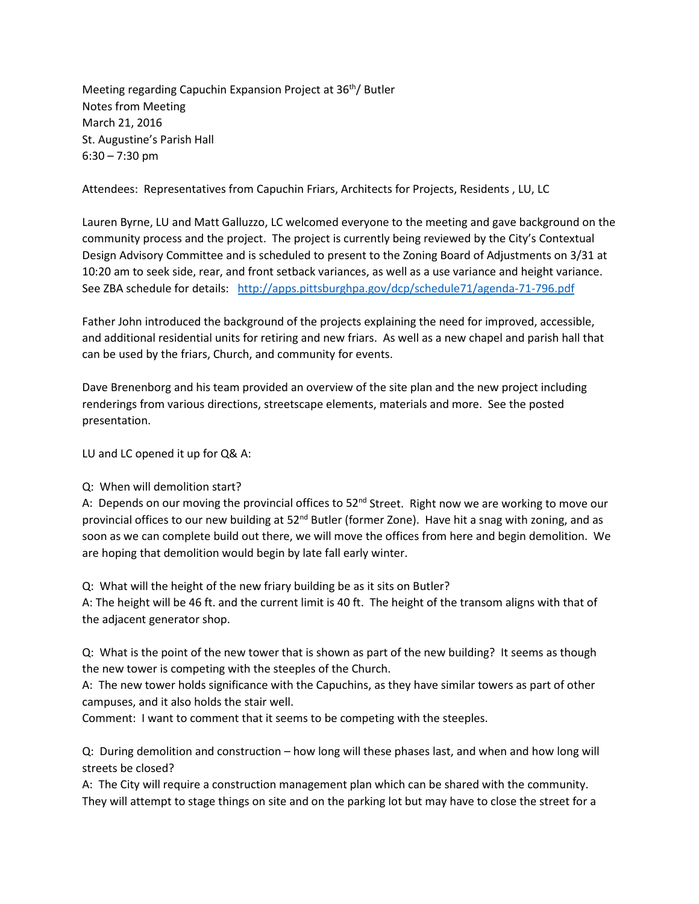Meeting regarding Capuchin Expansion Project at 36<sup>th</sup>/ Butler Notes from Meeting March 21, 2016 St. Augustine's Parish Hall 6:30 – 7:30 pm

Attendees: Representatives from Capuchin Friars, Architects for Projects, Residents , LU, LC

Lauren Byrne, LU and Matt Galluzzo, LC welcomed everyone to the meeting and gave background on the community process and the project. The project is currently being reviewed by the City's Contextual Design Advisory Committee and is scheduled to present to the Zoning Board of Adjustments on 3/31 at 10:20 am to seek side, rear, and front setback variances, as well as a use variance and height variance. See ZBA schedule for details: <http://apps.pittsburghpa.gov/dcp/schedule71/agenda-71-796.pdf>

Father John introduced the background of the projects explaining the need for improved, accessible, and additional residential units for retiring and new friars. As well as a new chapel and parish hall that can be used by the friars, Church, and community for events.

Dave Brenenborg and his team provided an overview of the site plan and the new project including renderings from various directions, streetscape elements, materials and more. See the posted presentation.

LU and LC opened it up for Q& A:

## Q: When will demolition start?

A: Depends on our moving the provincial offices to  $52<sup>nd</sup>$  Street. Right now we are working to move our provincial offices to our new building at  $52^{nd}$  Butler (former Zone). Have hit a snag with zoning, and as soon as we can complete build out there, we will move the offices from here and begin demolition. We are hoping that demolition would begin by late fall early winter.

Q: What will the height of the new friary building be as it sits on Butler?

A: The height will be 46 ft. and the current limit is 40 ft. The height of the transom aligns with that of the adjacent generator shop.

Q: What is the point of the new tower that is shown as part of the new building? It seems as though the new tower is competing with the steeples of the Church.

A: The new tower holds significance with the Capuchins, as they have similar towers as part of other campuses, and it also holds the stair well.

Comment: I want to comment that it seems to be competing with the steeples.

Q: During demolition and construction – how long will these phases last, and when and how long will streets be closed?

A: The City will require a construction management plan which can be shared with the community. They will attempt to stage things on site and on the parking lot but may have to close the street for a